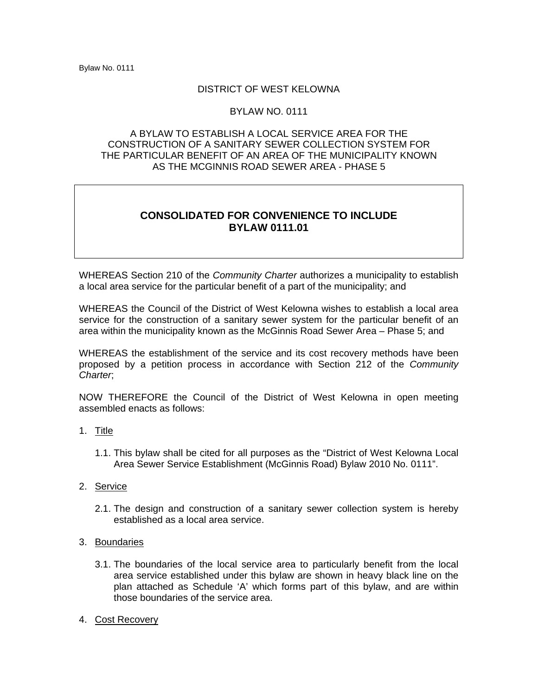## DISTRICT OF WEST KELOWNA

## BYLAW NO. 0111

## A BYLAW TO ESTABLISH A LOCAL SERVICE AREA FOR THE CONSTRUCTION OF A SANITARY SEWER COLLECTION SYSTEM FOR THE PARTICULAR BENEFIT OF AN AREA OF THE MUNICIPALITY KNOWN AS THE MCGINNIS ROAD SEWER AREA - PHASE 5

## **CONSOLIDATED FOR CONVENIENCE TO INCLUDE BYLAW 0111.01**

WHEREAS Section 210 of the *Community Charter* authorizes a municipality to establish a local area service for the particular benefit of a part of the municipality; and

WHEREAS the Council of the District of West Kelowna wishes to establish a local area service for the construction of a sanitary sewer system for the particular benefit of an area within the municipality known as the McGinnis Road Sewer Area – Phase 5; and

WHEREAS the establishment of the service and its cost recovery methods have been proposed by a petition process in accordance with Section 212 of the *Community Charter*;

NOW THEREFORE the Council of the District of West Kelowna in open meeting assembled enacts as follows:

- 1. Title
	- 1.1. This bylaw shall be cited for all purposes as the "District of West Kelowna Local Area Sewer Service Establishment (McGinnis Road) Bylaw 2010 No. 0111".
- 2. Service
	- 2.1. The design and construction of a sanitary sewer collection system is hereby established as a local area service.
- 3. Boundaries
	- 3.1. The boundaries of the local service area to particularly benefit from the local area service established under this bylaw are shown in heavy black line on the plan attached as Schedule 'A' which forms part of this bylaw, and are within those boundaries of the service area.
- 4. Cost Recovery